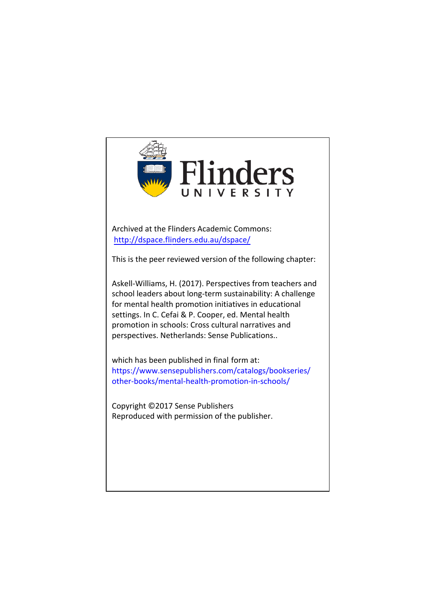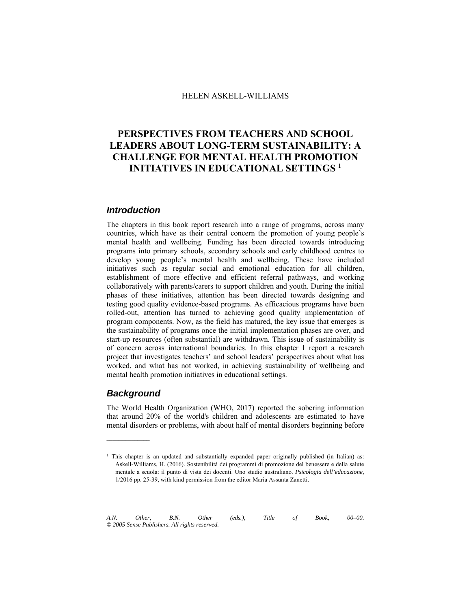### HELEN ASKELL-WILLIAMS

# **PERSPECTIVES FROM TEACHERS AND SCHOOL LEADERS ABOUT LONG-TERM SUSTAINABILITY: A CHALLENGE FOR MENTAL HEALTH PROMOTION INITIATIVES IN EDUCATIONAL SETTINGS 1**

# *Introduction*

The chapters in this book report research into a range of programs, across many countries, which have as their central concern the promotion of young people's mental health and wellbeing. Funding has been directed towards introducing programs into primary schools, secondary schools and early childhood centres to develop young people's mental health and wellbeing. These have included initiatives such as regular social and emotional education for all children, establishment of more effective and efficient referral pathways, and working collaboratively with parents/carers to support children and youth. During the initial phases of these initiatives, attention has been directed towards designing and testing good quality evidence-based programs. As efficacious programs have been rolled-out, attention has turned to achieving good quality implementation of program components. Now, as the field has matured, the key issue that emerges is the sustainability of programs once the initial implementation phases are over, and start-up resources (often substantial) are withdrawn. This issue of sustainability is of concern across international boundaries. In this chapter I report a research project that investigates teachers' and school leaders' perspectives about what has worked, and what has not worked, in achieving sustainability of wellbeing and mental health promotion initiatives in educational settings.

# *Background*

––––––––––––––

The World Health Organization (WHO, 2017) reported the sobering information that around 20% of the world's children and adolescents are estimated to have mental disorders or problems, with about half of mental disorders beginning before

*A.N. Other, B.N. Other (eds.), Title of Book, 00–00. © 2005 Sense Publishers. All rights reserved.* 

<sup>&</sup>lt;sup>1</sup> This chapter is an updated and substantially expanded paper originally published (in Italian) as: Askell-Williams, H. (2016). Sostenibilità dei programmi di promozione del benessere e della salute mentale a scuola: il punto di vista dei docenti. Uno studio australiano. *Psicologia dell'educazione,*  1/2016 pp. 25-39, with kind permission from the editor Maria Assunta Zanetti.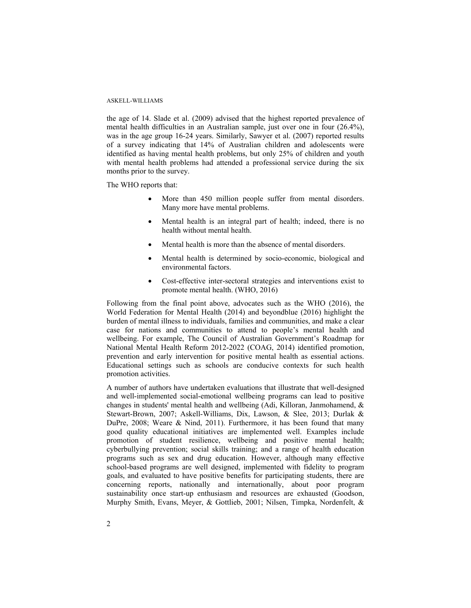the age of 14. Slade et al. (2009) advised that the highest reported prevalence of mental health difficulties in an Australian sample, just over one in four (26.4%), was in the age group 16-24 years. Similarly, Sawyer et al. (2007) reported results of a survey indicating that 14% of Australian children and adolescents were identified as having mental health problems, but only 25% of children and youth with mental health problems had attended a professional service during the six months prior to the survey.

The WHO reports that:

- More than 450 million people suffer from mental disorders. Many more have mental problems.
- Mental health is an integral part of health; indeed, there is no health without mental health.
- Mental health is more than the absence of mental disorders.
- Mental health is determined by socio-economic, biological and environmental factors.
- Cost-effective inter-sectoral strategies and interventions exist to promote mental health. (WHO, 2016)

Following from the final point above, advocates such as the WHO (2016), the World Federation for Mental Health (2014) and beyondblue (2016) highlight the burden of mental illness to individuals, families and communities, and make a clear case for nations and communities to attend to people's mental health and wellbeing. For example, The Council of Australian Government's Roadmap for National Mental Health Reform 2012-2022 (COAG, 2014) identified promotion, prevention and early intervention for positive mental health as essential actions. Educational settings such as schools are conducive contexts for such health promotion activities.

A number of authors have undertaken evaluations that illustrate that well-designed and well-implemented social-emotional wellbeing programs can lead to positive changes in students' mental health and wellbeing (Adi, Killoran, Janmohamend, & Stewart-Brown, 2007; Askell-Williams, Dix, Lawson, & Slee, 2013; Durlak & DuPre, 2008; Weare & Nind, 2011). Furthermore, it has been found that many good quality educational initiatives are implemented well. Examples include promotion of student resilience, wellbeing and positive mental health; cyberbullying prevention; social skills training; and a range of health education programs such as sex and drug education. However, although many effective school-based programs are well designed, implemented with fidelity to program goals, and evaluated to have positive benefits for participating students, there are concerning reports, nationally and internationally, about poor program sustainability once start-up enthusiasm and resources are exhausted (Goodson, Murphy Smith, Evans, Meyer, & Gottlieb, 2001; Nilsen, Timpka, Nordenfelt, &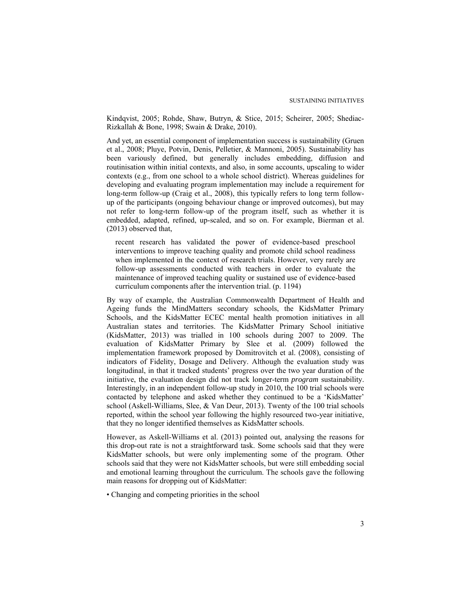Kindqvist, 2005; Rohde, Shaw, Butryn, & Stice, 2015; Scheirer, 2005; Shediac-Rizkallah & Bone, 1998; Swain & Drake, 2010).

And yet, an essential component of implementation success is sustainability (Gruen et al., 2008; Pluye, Potvin, Denis, Pelletier, & Mannoni, 2005). Sustainability has been variously defined, but generally includes embedding, diffusion and routinisation within initial contexts, and also, in some accounts, upscaling to wider contexts (e.g., from one school to a whole school district). Whereas guidelines for developing and evaluating program implementation may include a requirement for long-term follow-up (Craig et al., 2008), this typically refers to long term followup of the participants (ongoing behaviour change or improved outcomes), but may not refer to long-term follow-up of the program itself, such as whether it is embedded, adapted, refined, up-scaled, and so on. For example, Bierman et al. (2013) observed that,

recent research has validated the power of evidence-based preschool interventions to improve teaching quality and promote child school readiness when implemented in the context of research trials. However, very rarely are follow-up assessments conducted with teachers in order to evaluate the maintenance of improved teaching quality or sustained use of evidence-based curriculum components after the intervention trial. (p. 1194)

By way of example, the Australian Commonwealth Department of Health and Ageing funds the MindMatters secondary schools, the KidsMatter Primary Schools, and the KidsMatter ECEC mental health promotion initiatives in all Australian states and territories. The KidsMatter Primary School initiative (KidsMatter, 2013) was trialled in 100 schools during 2007 to 2009. The evaluation of KidsMatter Primary by Slee et al. (2009) followed the implementation framework proposed by Domitrovitch et al. (2008), consisting of indicators of Fidelity, Dosage and Delivery. Although the evaluation study was longitudinal, in that it tracked students' progress over the two year duration of the initiative, the evaluation design did not track longer-term *program* sustainability. Interestingly, in an independent follow-up study in 2010, the 100 trial schools were contacted by telephone and asked whether they continued to be a 'KidsMatter' school (Askell-Williams, Slee, & Van Deur, 2013). Twenty of the 100 trial schools reported, within the school year following the highly resourced two-year initiative, that they no longer identified themselves as KidsMatter schools.

However, as Askell-Williams et al. (2013) pointed out, analysing the reasons for this drop-out rate is not a straightforward task. Some schools said that they were KidsMatter schools, but were only implementing some of the program. Other schools said that they were not KidsMatter schools, but were still embedding social and emotional learning throughout the curriculum. The schools gave the following main reasons for dropping out of KidsMatter:

• Changing and competing priorities in the school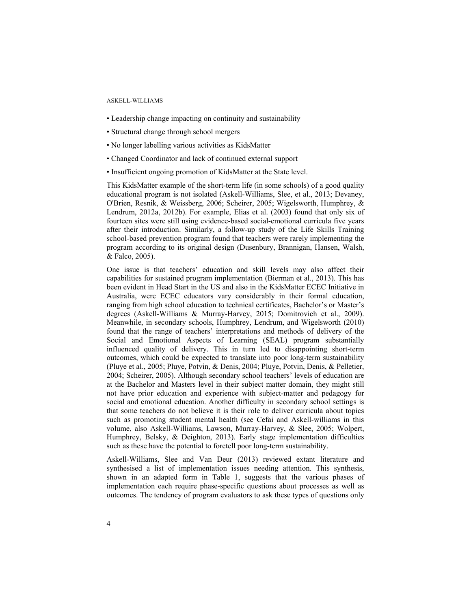- Leadership change impacting on continuity and sustainability
- Structural change through school mergers
- No longer labelling various activities as KidsMatter
- Changed Coordinator and lack of continued external support
- Insufficient ongoing promotion of KidsMatter at the State level.

This KidsMatter example of the short-term life (in some schools) of a good quality educational program is not isolated (Askell-Williams, Slee, et al., 2013; Devaney, O'Brien, Resnik, & Weissberg, 2006; Scheirer, 2005; Wigelsworth, Humphrey, & Lendrum, 2012a, 2012b). For example, Elias et al. (2003) found that only six of fourteen sites were still using evidence-based social-emotional curricula five years after their introduction. Similarly, a follow-up study of the Life Skills Training school-based prevention program found that teachers were rarely implementing the program according to its original design (Dusenbury, Brannigan, Hansen, Walsh, & Falco, 2005).

One issue is that teachers' education and skill levels may also affect their capabilities for sustained program implementation (Bierman et al., 2013). This has been evident in Head Start in the US and also in the KidsMatter ECEC Initiative in Australia, were ECEC educators vary considerably in their formal education, ranging from high school education to technical certificates, Bachelor's or Master's degrees (Askell-Williams & Murray-Harvey, 2015; Domitrovich et al., 2009). Meanwhile, in secondary schools, Humphrey, Lendrum, and Wigelsworth (2010) found that the range of teachers' interpretations and methods of delivery of the Social and Emotional Aspects of Learning (SEAL) program substantially influenced quality of delivery. This in turn led to disappointing short-term outcomes, which could be expected to translate into poor long-term sustainability (Pluye et al., 2005; Pluye, Potvin, & Denis, 2004; Pluye, Potvin, Denis, & Pelletier, 2004; Scheirer, 2005). Although secondary school teachers' levels of education are at the Bachelor and Masters level in their subject matter domain, they might still not have prior education and experience with subject-matter and pedagogy for social and emotional education. Another difficulty in secondary school settings is that some teachers do not believe it is their role to deliver curricula about topics such as promoting student mental health (see Cefai and Askell-williams in this volume, also Askell-Williams, Lawson, Murray-Harvey, & Slee, 2005; Wolpert, Humphrey, Belsky, & Deighton, 2013). Early stage implementation difficulties such as these have the potential to foretell poor long-term sustainability.

Askell-Williams, Slee and Van Deur (2013) reviewed extant literature and synthesised a list of implementation issues needing attention. This synthesis, shown in an adapted form in Table 1, suggests that the various phases of implementation each require phase-specific questions about processes as well as outcomes. The tendency of program evaluators to ask these types of questions only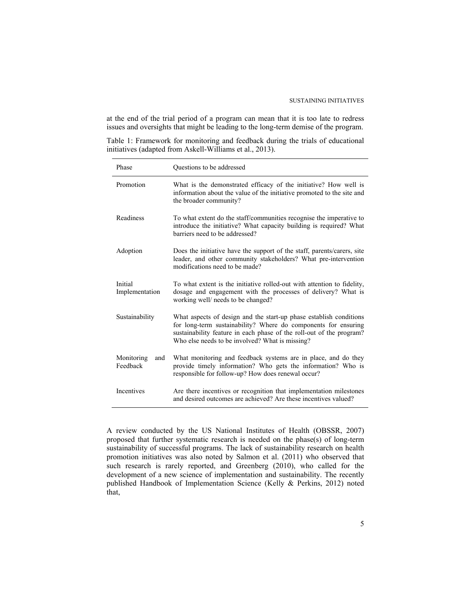at the end of the trial period of a program can mean that it is too late to redress issues and oversights that might be leading to the long-term demise of the program.

Table 1: Framework for monitoring and feedback during the trials of educational initiatives (adapted from Askell-Williams et al., 2013).

| Phase                         | Questions to be addressed                                                                                                                                                                                                                                       |
|-------------------------------|-----------------------------------------------------------------------------------------------------------------------------------------------------------------------------------------------------------------------------------------------------------------|
| Promotion                     | What is the demonstrated efficacy of the initiative? How well is<br>information about the value of the initiative promoted to the site and<br>the broader community?                                                                                            |
| Readiness                     | To what extent do the staff/communities recognise the imperative to<br>introduce the initiative? What capacity building is required? What<br>barriers need to be addressed?                                                                                     |
| Adoption                      | Does the initiative have the support of the staff, parents/carers, site<br>leader, and other community stakeholders? What pre-intervention<br>modifications need to be made?                                                                                    |
| Initial<br>Implementation     | To what extent is the initiative rolled-out with attention to fidelity,<br>dosage and engagement with the processes of delivery? What is<br>working well/ needs to be changed?                                                                                  |
| Sustainability                | What aspects of design and the start-up phase establish conditions<br>for long-term sustainability? Where do components for ensuring<br>sustainability feature in each phase of the roll-out of the program?<br>Who else needs to be involved? What is missing? |
| Monitoring<br>and<br>Feedback | What monitoring and feedback systems are in place, and do they<br>provide timely information? Who gets the information? Who is<br>responsible for follow-up? How does renewal occur?                                                                            |
| <b>Incentives</b>             | Are there incentives or recognition that implementation milestones<br>and desired outcomes are achieved? Are these incentives valued?                                                                                                                           |

A review conducted by the US National Institutes of Health (OBSSR, 2007) proposed that further systematic research is needed on the phase(s) of long-term sustainability of successful programs. The lack of sustainability research on health promotion initiatives was also noted by Salmon et al. (2011) who observed that such research is rarely reported, and Greenberg (2010), who called for the development of a new science of implementation and sustainability. The recently published Handbook of Implementation Science (Kelly & Perkins, 2012) noted that,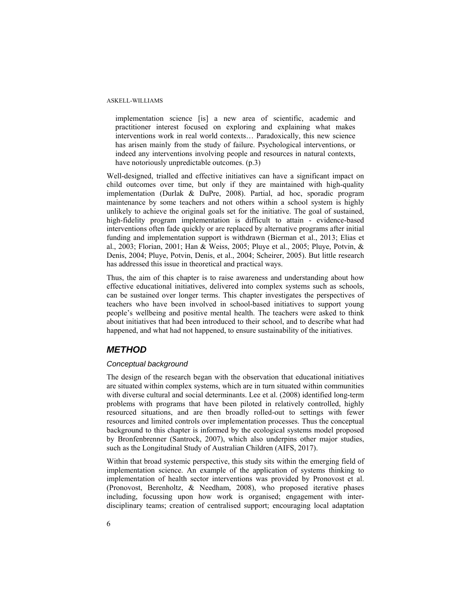implementation science [is] a new area of scientific, academic and practitioner interest focused on exploring and explaining what makes interventions work in real world contexts… Paradoxically, this new science has arisen mainly from the study of failure. Psychological interventions, or indeed any interventions involving people and resources in natural contexts, have notoriously unpredictable outcomes. (p.3)

Well-designed, trialled and effective initiatives can have a significant impact on child outcomes over time, but only if they are maintained with high-quality implementation (Durlak & DuPre, 2008). Partial, ad hoc, sporadic program maintenance by some teachers and not others within a school system is highly unlikely to achieve the original goals set for the initiative. The goal of sustained, high-fidelity program implementation is difficult to attain - evidence-based interventions often fade quickly or are replaced by alternative programs after initial funding and implementation support is withdrawn (Bierman et al., 2013; Elias et al., 2003; Florian, 2001; Han & Weiss, 2005; Pluye et al., 2005; Pluye, Potvin, & Denis, 2004; Pluye, Potvin, Denis, et al., 2004; Scheirer, 2005). But little research has addressed this issue in theoretical and practical ways.

Thus, the aim of this chapter is to raise awareness and understanding about how effective educational initiatives, delivered into complex systems such as schools, can be sustained over longer terms. This chapter investigates the perspectives of teachers who have been involved in school-based initiatives to support young people's wellbeing and positive mental health. The teachers were asked to think about initiatives that had been introduced to their school, and to describe what had happened, and what had not happened, to ensure sustainability of the initiatives.

# *METHOD*

# *Conceptual background*

The design of the research began with the observation that educational initiatives are situated within complex systems, which are in turn situated within communities with diverse cultural and social determinants. Lee et al. (2008) identified long-term problems with programs that have been piloted in relatively controlled, highly resourced situations, and are then broadly rolled-out to settings with fewer resources and limited controls over implementation processes. Thus the conceptual background to this chapter is informed by the ecological systems model proposed by Bronfenbrenner (Santrock, 2007), which also underpins other major studies, such as the Longitudinal Study of Australian Children (AIFS, 2017).

Within that broad systemic perspective, this study sits within the emerging field of implementation science. An example of the application of systems thinking to implementation of health sector interventions was provided by Pronovost et al. (Pronovost, Berenholtz, & Needham, 2008), who proposed iterative phases including, focussing upon how work is organised; engagement with interdisciplinary teams; creation of centralised support; encouraging local adaptation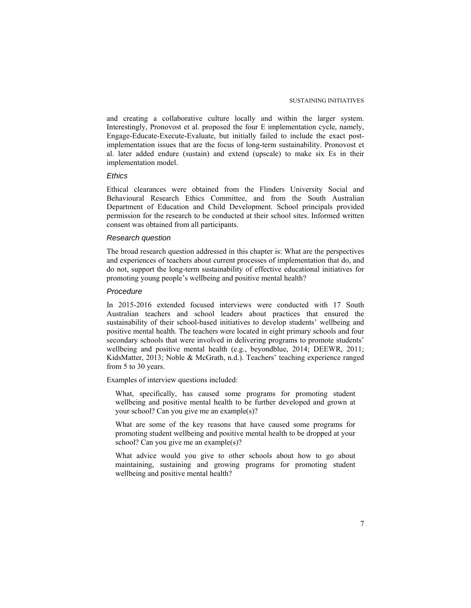and creating a collaborative culture locally and within the larger system. Interestingly, Pronovost et al. proposed the four E implementation cycle, namely, Engage-Educate-Execute-Evaluate, but initially failed to include the exact postimplementation issues that are the focus of long-term sustainability. Pronovost et al. later added endure (sustain) and extend (upscale) to make six Es in their implementation model.

#### *Ethics*

Ethical clearances were obtained from the Flinders University Social and Behavioural Research Ethics Committee, and from the South Australian Department of Education and Child Development. School principals provided permission for the research to be conducted at their school sites. Informed written consent was obtained from all participants.

## *Research question*

The broad research question addressed in this chapter is: What are the perspectives and experiences of teachers about current processes of implementation that do, and do not, support the long-term sustainability of effective educational initiatives for promoting young people's wellbeing and positive mental health?

## *Procedure*

In 2015-2016 extended focused interviews were conducted with 17 South Australian teachers and school leaders about practices that ensured the sustainability of their school-based initiatives to develop students' wellbeing and positive mental health. The teachers were located in eight primary schools and four secondary schools that were involved in delivering programs to promote students' wellbeing and positive mental health (e.g., beyondblue, 2014; DEEWR, 2011; KidsMatter, 2013; Noble & McGrath, n.d.). Teachers' teaching experience ranged from 5 to 30 years.

Examples of interview questions included:

What, specifically, has caused some programs for promoting student wellbeing and positive mental health to be further developed and grown at your school? Can you give me an example(s)?

What are some of the key reasons that have caused some programs for promoting student wellbeing and positive mental health to be dropped at your school? Can you give me an example(s)?

What advice would you give to other schools about how to go about maintaining, sustaining and growing programs for promoting student wellbeing and positive mental health?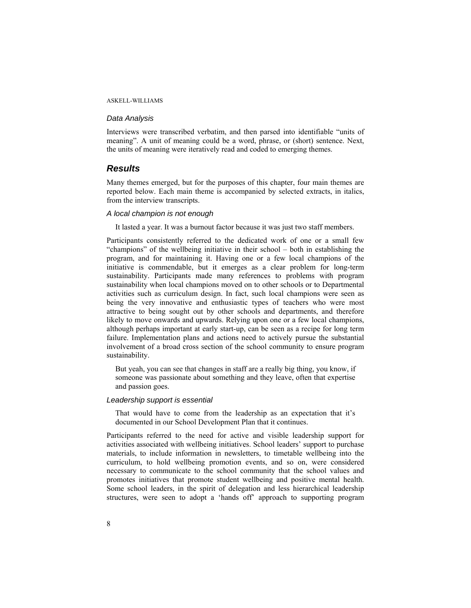# *Data Analysis*

Interviews were transcribed verbatim, and then parsed into identifiable "units of meaning". A unit of meaning could be a word, phrase, or (short) sentence. Next, the units of meaning were iteratively read and coded to emerging themes.

# *Results*

Many themes emerged, but for the purposes of this chapter, four main themes are reported below. Each main theme is accompanied by selected extracts, in italics, from the interview transcripts.

#### *A local champion is not enough*

It lasted a year. It was a burnout factor because it was just two staff members.

Participants consistently referred to the dedicated work of one or a small few "champions" of the wellbeing initiative in their school – both in establishing the program, and for maintaining it. Having one or a few local champions of the initiative is commendable, but it emerges as a clear problem for long-term sustainability. Participants made many references to problems with program sustainability when local champions moved on to other schools or to Departmental activities such as curriculum design. In fact, such local champions were seen as being the very innovative and enthusiastic types of teachers who were most attractive to being sought out by other schools and departments, and therefore likely to move onwards and upwards. Relying upon one or a few local champions, although perhaps important at early start-up, can be seen as a recipe for long term failure. Implementation plans and actions need to actively pursue the substantial involvement of a broad cross section of the school community to ensure program sustainability.

But yeah, you can see that changes in staff are a really big thing, you know, if someone was passionate about something and they leave, often that expertise and passion goes.

#### *Leadership support is essential*

That would have to come from the leadership as an expectation that it's documented in our School Development Plan that it continues.

Participants referred to the need for active and visible leadership support for activities associated with wellbeing initiatives. School leaders' support to purchase materials, to include information in newsletters, to timetable wellbeing into the curriculum, to hold wellbeing promotion events, and so on, were considered necessary to communicate to the school community that the school values and promotes initiatives that promote student wellbeing and positive mental health. Some school leaders, in the spirit of delegation and less hierarchical leadership structures, were seen to adopt a 'hands off' approach to supporting program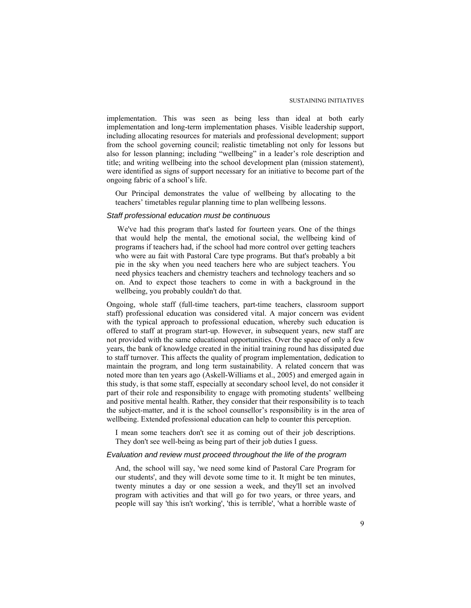implementation. This was seen as being less than ideal at both early implementation and long-term implementation phases. Visible leadership support, including allocating resources for materials and professional development; support from the school governing council; realistic timetabling not only for lessons but also for lesson planning; including "wellbeing" in a leader's role description and title; and writing wellbeing into the school development plan (mission statement), were identified as signs of support necessary for an initiative to become part of the ongoing fabric of a school's life.

Our Principal demonstrates the value of wellbeing by allocating to the teachers' timetables regular planning time to plan wellbeing lessons.

## *Staff professional education must be continuous*

 We've had this program that's lasted for fourteen years. One of the things that would help the mental, the emotional social, the wellbeing kind of programs if teachers had, if the school had more control over getting teachers who were au fait with Pastoral Care type programs. But that's probably a bit pie in the sky when you need teachers here who are subject teachers. You need physics teachers and chemistry teachers and technology teachers and so on. And to expect those teachers to come in with a background in the wellbeing, you probably couldn't do that.

Ongoing, whole staff (full-time teachers, part-time teachers, classroom support staff) professional education was considered vital. A major concern was evident with the typical approach to professional education, whereby such education is offered to staff at program start-up. However, in subsequent years, new staff are not provided with the same educational opportunities. Over the space of only a few years, the bank of knowledge created in the initial training round has dissipated due to staff turnover. This affects the quality of program implementation, dedication to maintain the program, and long term sustainability. A related concern that was noted more than ten years ago (Askell-Williams et al., 2005) and emerged again in this study, is that some staff, especially at secondary school level, do not consider it part of their role and responsibility to engage with promoting students' wellbeing and positive mental health. Rather, they consider that their responsibility is to teach the subject-matter, and it is the school counsellor's responsibility is in the area of wellbeing. Extended professional education can help to counter this perception.

I mean some teachers don't see it as coming out of their job descriptions. They don't see well-being as being part of their job duties I guess.

### *Evaluation and review must proceed throughout the life of the program*

And, the school will say, 'we need some kind of Pastoral Care Program for our students', and they will devote some time to it. It might be ten minutes, twenty minutes a day or one session a week, and they'll set an involved program with activities and that will go for two years, or three years, and people will say 'this isn't working', 'this is terrible', 'what a horrible waste of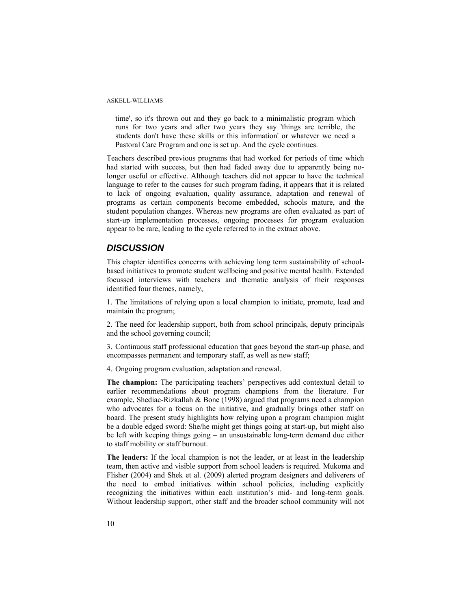time', so it's thrown out and they go back to a minimalistic program which runs for two years and after two years they say 'things are terrible, the students don't have these skills or this information' or whatever we need a Pastoral Care Program and one is set up. And the cycle continues.

Teachers described previous programs that had worked for periods of time which had started with success, but then had faded away due to apparently being nolonger useful or effective. Although teachers did not appear to have the technical language to refer to the causes for such program fading, it appears that it is related to lack of ongoing evaluation, quality assurance, adaptation and renewal of programs as certain components become embedded, schools mature, and the student population changes. Whereas new programs are often evaluated as part of start-up implementation processes, ongoing processes for program evaluation appear to be rare, leading to the cycle referred to in the extract above.

# *DISCUSSION*

This chapter identifies concerns with achieving long term sustainability of schoolbased initiatives to promote student wellbeing and positive mental health. Extended focussed interviews with teachers and thematic analysis of their responses identified four themes, namely,

1. The limitations of relying upon a local champion to initiate, promote, lead and maintain the program;

2. The need for leadership support, both from school principals, deputy principals and the school governing council;

3. Continuous staff professional education that goes beyond the start-up phase, and encompasses permanent and temporary staff, as well as new staff;

4. Ongoing program evaluation, adaptation and renewal.

**The champion:** The participating teachers' perspectives add contextual detail to earlier recommendations about program champions from the literature. For example, Shediac-Rizkallah & Bone (1998) argued that programs need a champion who advocates for a focus on the initiative, and gradually brings other staff on board. The present study highlights how relying upon a program champion might be a double edged sword: She/he might get things going at start-up, but might also be left with keeping things going – an unsustainable long-term demand due either to staff mobility or staff burnout.

**The leaders:** If the local champion is not the leader, or at least in the leadership team, then active and visible support from school leaders is required. Mukoma and Flisher (2004) and Shek et al. (2009) alerted program designers and deliverers of the need to embed initiatives within school policies, including explicitly recognizing the initiatives within each institution's mid- and long-term goals. Without leadership support, other staff and the broader school community will not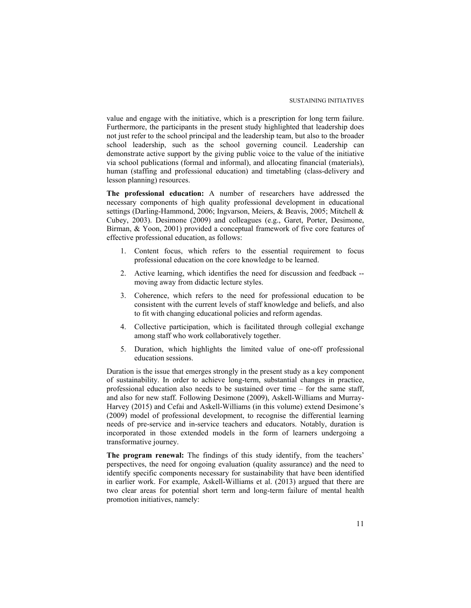value and engage with the initiative, which is a prescription for long term failure. Furthermore, the participants in the present study highlighted that leadership does not just refer to the school principal and the leadership team, but also to the broader school leadership, such as the school governing council. Leadership can demonstrate active support by the giving public voice to the value of the initiative via school publications (formal and informal), and allocating financial (materials), human (staffing and professional education) and timetabling (class-delivery and lesson planning) resources.

**The professional education:** A number of researchers have addressed the necessary components of high quality professional development in educational settings (Darling-Hammond, 2006; Ingvarson, Meiers, & Beavis, 2005; Mitchell & Cubey, 2003). Desimone (2009) and colleagues (e.g., Garet, Porter, Desimone, Birman, & Yoon, 2001) provided a conceptual framework of five core features of effective professional education, as follows:

- 1. Content focus, which refers to the essential requirement to focus professional education on the core knowledge to be learned.
- 2. Active learning, which identifies the need for discussion and feedback moving away from didactic lecture styles.
- 3. Coherence, which refers to the need for professional education to be consistent with the current levels of staff knowledge and beliefs, and also to fit with changing educational policies and reform agendas.
- 4. Collective participation, which is facilitated through collegial exchange among staff who work collaboratively together.
- 5. Duration, which highlights the limited value of one-off professional education sessions.

Duration is the issue that emerges strongly in the present study as a key component of sustainability. In order to achieve long-term, substantial changes in practice, professional education also needs to be sustained over time – for the same staff, and also for new staff. Following Desimone (2009), Askell-Williams and Murray-Harvey (2015) and Cefai and Askell-Williams (in this volume) extend Desimone's (2009) model of professional development, to recognise the differential learning needs of pre-service and in-service teachers and educators. Notably, duration is incorporated in those extended models in the form of learners undergoing a transformative journey.

**The program renewal:** The findings of this study identify, from the teachers' perspectives, the need for ongoing evaluation (quality assurance) and the need to identify specific components necessary for sustainability that have been identified in earlier work. For example, Askell-Williams et al. (2013) argued that there are two clear areas for potential short term and long-term failure of mental health promotion initiatives, namely: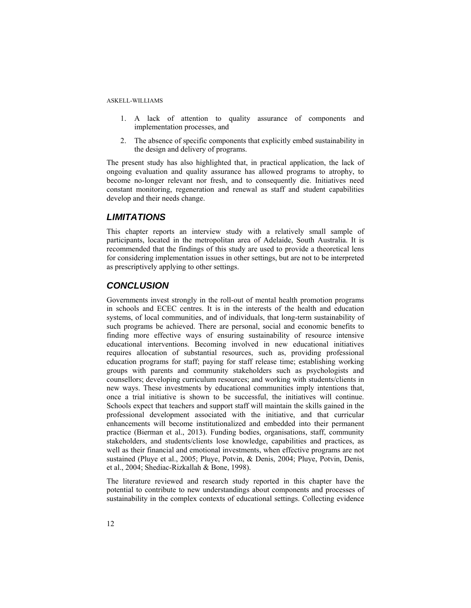- 1. A lack of attention to quality assurance of components and implementation processes, and
- 2. The absence of specific components that explicitly embed sustainability in the design and delivery of programs.

The present study has also highlighted that, in practical application, the lack of ongoing evaluation and quality assurance has allowed programs to atrophy, to become no-longer relevant nor fresh, and to consequently die. Initiatives need constant monitoring, regeneration and renewal as staff and student capabilities develop and their needs change.

# *LIMITATIONS*

This chapter reports an interview study with a relatively small sample of participants, located in the metropolitan area of Adelaide, South Australia. It is recommended that the findings of this study are used to provide a theoretical lens for considering implementation issues in other settings, but are not to be interpreted as prescriptively applying to other settings.

# *CONCLUSION*

Governments invest strongly in the roll-out of mental health promotion programs in schools and ECEC centres. It is in the interests of the health and education systems, of local communities, and of individuals, that long-term sustainability of such programs be achieved. There are personal, social and economic benefits to finding more effective ways of ensuring sustainability of resource intensive educational interventions. Becoming involved in new educational initiatives requires allocation of substantial resources, such as, providing professional education programs for staff; paying for staff release time; establishing working groups with parents and community stakeholders such as psychologists and counsellors; developing curriculum resources; and working with students/clients in new ways. These investments by educational communities imply intentions that, once a trial initiative is shown to be successful, the initiatives will continue. Schools expect that teachers and support staff will maintain the skills gained in the professional development associated with the initiative, and that curricular enhancements will become institutionalized and embedded into their permanent practice (Bierman et al., 2013). Funding bodies, organisations, staff, community stakeholders, and students/clients lose knowledge, capabilities and practices, as well as their financial and emotional investments, when effective programs are not sustained (Pluye et al., 2005; Pluye, Potvin, & Denis, 2004; Pluye, Potvin, Denis, et al., 2004; Shediac-Rizkallah & Bone, 1998).

The literature reviewed and research study reported in this chapter have the potential to contribute to new understandings about components and processes of sustainability in the complex contexts of educational settings. Collecting evidence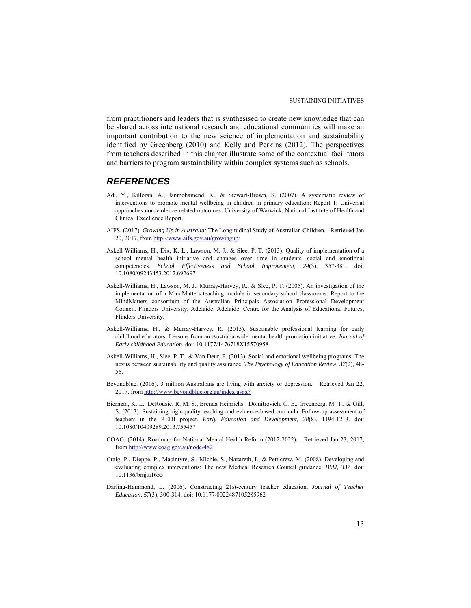from practitioners and leaders that is synthesised to create new knowledge that can be shared across international research and educational communities will make an important contribution to the new science of implementation and sustainability identified by Greenberg (2010) and Kelly and Perkins (2012). The perspectives from teachers described in this chapter illustrate some of the contextual facilitators and barriers to program sustainability within complex systems such as schools.

# *REFERENCES*

- Adi, Y., Killoran, A., Janmohamend, K., & Stewart-Brown, S. (2007). A systematic review of interventions to promote mental wellbeing in children in primary education: Report 1: Universal approaches non-violence related outcomes: University of Warwick, National Institute of Health and Clinical Excellence Report.
- AIFS. (2017). *Growing Up in Australia:* The Longitudinal Study of Australian Children. Retrieved Jan 20, 2017, from http://www.aifs.gov.au/growingup/
- Askell-Williams, H., Dix, K. L., Lawson, M. J., & Slee, P. T. (2013). Quality of implementation of a school mental health initiative and changes over time in students' social and emotional competencies. *School Effectiveness and School Improvement, 24*(3), 357-381. doi: 10.1080/09243453.2012.692697
- Askell-Williams, H., Lawson, M. J., Murray-Harvey, R., & Slee, P. T. (2005). An investigation of the implementation of a MindMatters teaching module in secondary school classrooms. Report to the MindMatters consortium of the Australian Principals Association Professional Development Council. Flinders University, Adelaide. Adelaide: Centre for the Analysis of Educational Futures, Flinders University.
- Askell-Williams, H., & Murray-Harvey, R. (2015). Sustainable professional learning for early childhood educators: Lessons from an Australia-wide mental health promotion initiative. *Journal of Early childhood Education*. doi: 10.1177/1476718X15570958
- Askell-Williams, H., Slee, P. T., & Van Deur, P. (2013). Social and emotional wellbeing programs: The nexus between sustainability and quality assurance. *The Psychology of Education Review, 37*(2), 48- 56.
- Beyondblue. (2016). 3 million Australians are living with anxiety or depression. Retrieved Jan 22, 2017, from http://www.beyondblue.org.au/index.aspx?
- Bierman, K. L., DeRousie, R. M. S., Brenda Heinrichs , Domitrovich, C. E., Greenberg, M. T., & Gill, S. (2013). Sustaining high-quality teaching and evidence-based curricula: Follow-up assessment of teachers in the REDI project. *Early Education and Development, 28*(8), 1194-1213. doi: 10.1080/10409289.2013.755457
- COAG. (2014). Roadmap for National Mental Health Reform (2012-2022). Retrieved Jan 23, 2017, from http://www.coag.gov.au/node/482
- Craig, P., Dieppe, P., Macintyre, S., Michie, S., Nazareth, I., & Petticrew, M. (2008). Developing and evaluating complex interventions: The new Medical Research Council guidance. *BMJ, 337*. doi: 10.1136/bmj.a1655
- Darling-Hammond, L. (2006). Constructing 21st-century teacher education. *Journal of Teacher Education, 57*(3), 300-314. doi: 10.1177/0022487105285962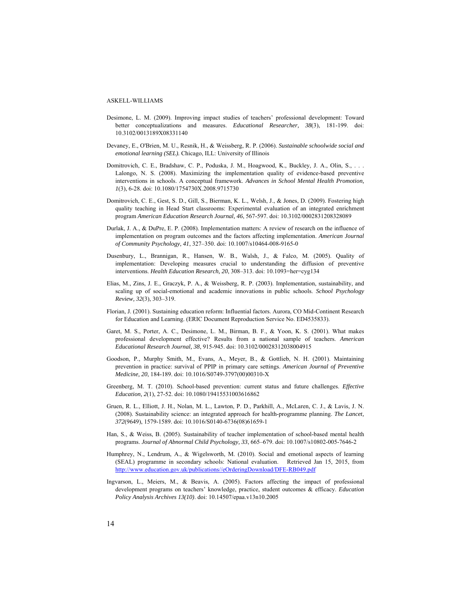- Desimone, L. M. (2009). Improving impact studies of teachers' professional development: Toward better conceptualizations and measures. *Educational Researcher, 38*(3), 181-199. doi: 10.3102/0013189X08331140
- Devaney, E., O'Brien, M. U., Resnik, H., & Weissberg, R. P. (2006). *Sustainable schoolwide social and emotional learning (SEL).* Chicago, ILL: University of Illinois
- Domitrovich, C. E., Bradshaw, C. P., Poduska, J. M., Hoagwood, K., Buckley, J. A., Olin, S., . . . Lalongo, N. S. (2008). Maximizing the implementation quality of evidence-based preventive interventions in schools. A conceptual framework. *Advances in School Mental Health Promotion, 1*(3), 6-28. doi: 10.1080/1754730X.2008.9715730
- Domitrovich, C. E., Gest, S. D., Gill, S., Bierman, K. L., Welsh, J., & Jones, D. (2009). Fostering high quality teaching in Head Start classrooms: Experimental evaluation of an integrated enrichment program *American Education Research Journal, 46*, 567-597. doi: 10.3102/0002831208328089
- Durlak, J. A., & DuPre, E. P. (2008). Implementation matters: A review of research on the influence of implementation on program outcomes and the factors affecting implementation. *American Journal of Community Psychology, 41*, 327–350. doi: 10.1007/s10464-008-9165-0
- Dusenbury, L., Brannigan, R., Hansen, W. B., Walsh, J., & Falco, M. (2005). Quality of implementation: Developing measures crucial to understanding the diffusion of preventive interventions. *Health Education Research, 20*, 308–313. doi: 10.1093=her=cyg134
- Elias, M., Zins, J. E., Graczyk, P. A., & Weissberg, R. P. (2003). Implementation, sustainability, and scaling up of social-emotional and academic innovations in public schools. *School Psychology Review, 32*(3), 303–319.
- Florian, J. (2001). Sustaining education reform: Influential factors. Aurora, CO Mid-Continent Research for Education and Learning. (ERIC Document Reproduction Service No. ED4535833).
- Garet, M. S., Porter, A. C., Desimone, L. M., Birman, B. F., & Yoon, K. S. (2001). What makes professional development effective? Results from a national sample of teachers. *American Educational Research Journal, 38*, 915-945. doi: 10.3102/00028312038004915
- Goodson, P., Murphy Smith, M., Evans, A., Meyer, B., & Gottlieb, N. H. (2001). Maintaining prevention in practice: survival of PPIP in primary care settings. *American Journal of Preventive Medicine, 20*, 184-189. doi: 10.1016/S0749-3797(00)00310-X
- Greenberg, M. T. (2010). School-based prevention: current status and future challenges. *Effective Education, 2*(1), 27-52. doi: 10.1080/19415531003616862
- Gruen, R. L., Elliott, J. H., Nolan, M. L., Lawton, P. D., Parkhill, A., McLaren, C. J., & Lavis, J. N. (2008). Sustainability science: an integrated approach for health-programme planning. *The Lancet, 372*(9649), 1579-1589. doi: 10.1016/S0140-6736(08)61659-1
- Han, S., & Weiss, B. (2005). Sustainability of teacher implementation of school-based mental health programs. *Journal of Abnormal Child Psychology, 33*, 665–679. doi: 10.1007/s10802-005-7646-2
- Humphrey, N., Lendrum, A., & Wigelsworth, M. (2010). Social and emotional aspects of learning (SEAL) programme in secondary schools: National evaluation. Retrieved Jan 15, 2015, from http://www.education.gov.uk/publications//eOrderingDownload/DFE-RB049.pdf
- Ingvarson, L., Meiers, M., & Beavis, A. (2005). Factors affecting the impact of professional development programs on teachers' knowledge, practice, student outcomes & efficacy. *Education Policy Analysis Archives 13(10)*. doi: 10.14507/epaa.v13n10.2005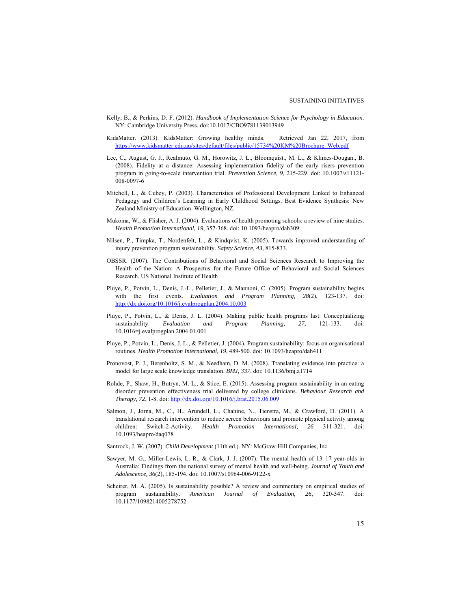- Kelly, B., & Perkins, D. F. (2012). *Handbook of Implementation Science for Psychology in Education*. NY: Cambridge University Press. doi:10.1017/CBO9781139013949
- KidsMatter. (2013). KidsMatter: Growing healthy minds. Retrieved Jan 22, 2017, from https://www.kidsmatter.edu.au/sites/default/files/public/15734%20KM%20Brochure\_Web.pdf
- Lee, C., August, G. J., Realmuto, G. M., Horowitz, J. L., Bloomquist., M. L., & Klimes-Dougan., B. (2008). Fidelity at a distance: Assessing implementation fidelity of the early–risers prevention program in going-to-scale intervention trial. *Prevention Science, 9*, 215-229. doi: 10.1007/s11121- 008-0097-6
- Mitchell, L., & Cubey, P. (2003). Characteristics of Professional Development Linked to Enhanced Pedagogy and Children's Learning in Early Childhood Settings. Best Evidence Synthesis: New Zealand Ministry of Education. Wellington, NZ.
- Mukoma, W., & Flisher, A. J. (2004). Evaluations of health promoting schools: a review of nine studies. *Health Promotion International, 19*, 357-368. doi: 10.1093/heapro/dah309
- Nilsen, P., Timpka, T., Nordenfelt, L., & Kindqvist, K. (2005). Towards improved understanding of injury prevention program sustainability. *Safety Science, 43*, 815-833.
- OBSSR. (2007). The Contributions of Behavioral and Social Sciences Research to Improving the Health of the Nation: A Prospectus for the Future Office of Behavioral and Social Sciences Research. US National Institute of Health
- Pluye, P., Potvin, L., Denis, J.-L., Pelletier, J., & Mannoni, C. (2005). Program sustainability begins with the first events. *Evaluation and Program Planning, 28*(2), 123-137. doi: http://dx.doi.org/10.1016/j.evalprogplan.2004.10.003
- Pluye, P., Potvin, L., & Denis, J. L. (2004). Making public health programs last: Conceptualizing sustainability. *Evaluation and Program Planning, 27*, 121-133. doi: 10.1016=j.evalprogplan.2004.01.001
- Pluye, P., Potvin, L., Denis, J. L., & Pelletier, J. (2004). Program sustainability: focus on organisational routines. *Health Promotion International, 19*, 489-500. doi: 10.1093/heapro/dah411
- Pronovost, P. J., Berenholtz, S. M., & Needham, D. M. (2008). Translating evidence into practice: a model for large scale knowledge translation. *BMJ, 337*. doi: 10.1136/bmj.a1714
- Rohde, P., Shaw, H., Butryn, M. L., & Stice, E. (2015). Assessing program sustainability in an eating disorder prevention effectiveness trial delivered by college clinicians. *Behaviour Research and Therapy, 72*, 1-8. doi: http://dx.doi.org/10.1016/j.brat.2015.06.009
- Salmon, J., Jorna, M., C., H., Arundell, L., Chahine, N., Tienstra, M., & Crawford, D. (2011). A translational research intervention to reduce screen behaviours and promote physical activity among children: Switch-2-Activity. *Health Promotion International, 26* 311-321. doi: 10.1093/heapro/daq078
- Santrock, J. W. (2007). *Child Development* (11th ed.). NY: McGraw-Hill Companies, Inc
- Sawyer, M. G., Miller-Lewis, L. R., & Clark, J. J. (2007). The mental health of 13–17 year-olds in Australia: Findings from the national survey of mental health and well-being. *Journal of Youth and Adolescence, 36*(2), 185-194. doi: 10.1007/s10964-006-9122-x
- Scheirer, M. A. (2005). Is sustainability possible? A review and commentary on empirical studies of program sustainability. *American Journal of Evaluation, 26*, 320-347. doi: 10.1177/1098214005278752